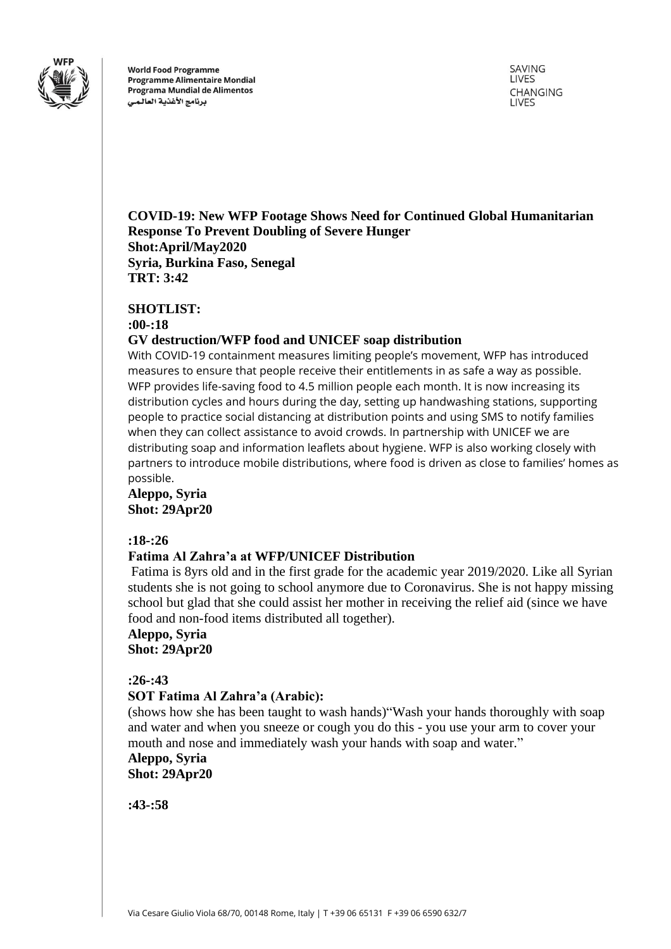

**World Food Programme Programme Alimentaire Mondial** Programa Mundial de Alimentos برنامج الأغذية العالمى

SAVING LIVES CHANGING **LIVES** 

**COVID-19: New WFP Footage Shows Need for Continued Global Humanitarian Response To Prevent Doubling of Severe Hunger Shot:April/May2020 Syria, Burkina Faso, Senegal TRT: 3:42**

#### **SHOTLIST:**

**:00-:18**

### **GV destruction/WFP food and UNICEF soap distribution**

With COVID-19 containment measures limiting people's movement, WFP has introduced measures to ensure that people receive their entitlements in as safe a way as possible. WFP provides life-saving food to 4.5 million people each month. It is now increasing its distribution cycles and hours during the day, setting up handwashing stations, supporting people to practice social distancing at distribution points and using SMS to notify families when they can collect assistance to avoid crowds. In partnership with UNICEF we are distributing soap and information leaflets about hygiene. WFP is also working closely with partners to introduce mobile distributions, where food is driven as close to families' homes as possible.

## **Aleppo, Syria Shot: 29Apr20**

#### **:18-:26**

# **Fatima Al Zahra'a at WFP/UNICEF Distribution**

Fatima is 8yrs old and in the first grade for the academic year 2019/2020. Like all Syrian students she is not going to school anymore due to Coronavirus. She is not happy missing school but glad that she could assist her mother in receiving the relief aid (since we have food and non-food items distributed all together).

**Aleppo, Syria Shot: 29Apr20**

### **:26-:43**

# **SOT Fatima Al Zahra'a (Arabic):**

(shows how she has been taught to wash hands)"Wash your hands thoroughly with soap and water and when you sneeze or cough you do this - you use your arm to cover your mouth and nose and immediately wash your hands with soap and water."

**Aleppo, Syria Shot: 29Apr20**

**:43-:58**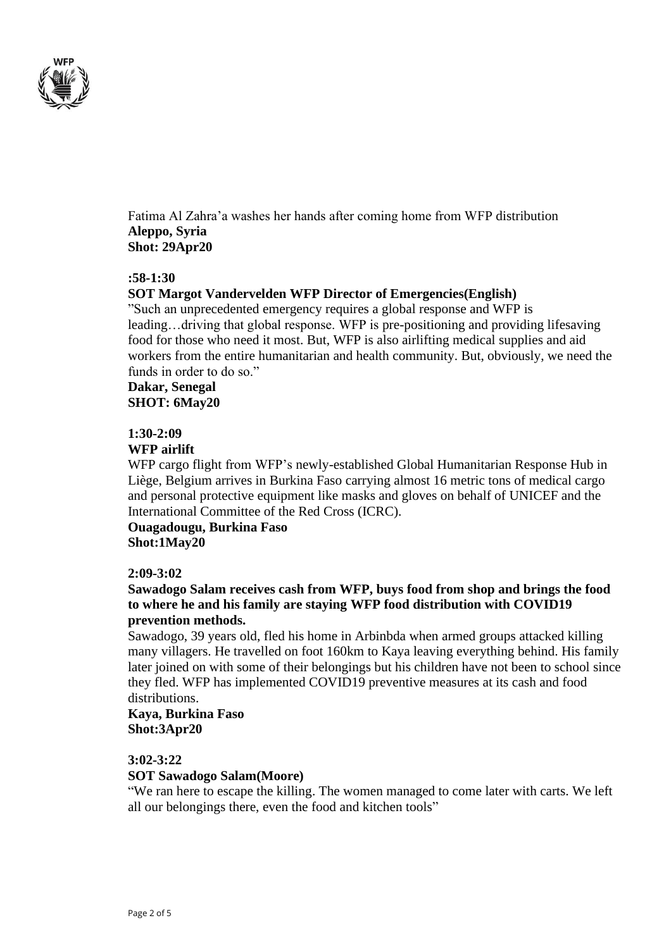

Fatima Al Zahra'a washes her hands after coming home from WFP distribution **Aleppo, Syria Shot: 29Apr20**

#### **:58-1:30**

### **SOT Margot Vandervelden WFP Director of Emergencies(English)**

"Such an unprecedented emergency requires a global response and WFP is leading…driving that global response. WFP is pre-positioning and providing lifesaving food for those who need it most. But, WFP is also airlifting medical supplies and aid workers from the entire humanitarian and health community. But, obviously, we need the funds in order to do so."

# **Dakar, Senegal SHOT: 6May20**

#### **1:30-2:09**

### **WFP airlift**

WFP cargo flight from WFP's newly-established Global Humanitarian Response Hub in Liège, Belgium arrives in Burkina Faso carrying almost 16 metric tons of medical cargo and personal protective equipment like masks and gloves on behalf of UNICEF and the International Committee of the Red Cross (ICRC).

**Ouagadougu, Burkina Faso Shot:1May20**

### **2:09-3:02**

### **Sawadogo Salam receives cash from WFP, buys food from shop and brings the food to where he and his family are staying WFP food distribution with COVID19 prevention methods.**

Sawadogo, 39 years old, fled his home in Arbinbda when armed groups attacked killing many villagers. He travelled on foot 160km to Kaya leaving everything behind. His family later joined on with some of their belongings but his children have not been to school since they fled. WFP has implemented COVID19 preventive measures at its cash and food distributions.

### **Kaya, Burkina Faso Shot:3Apr20**

### **3:02-3:22**

### **SOT Sawadogo Salam(Moore)**

"We ran here to escape the killing. The women managed to come later with carts. We left all our belongings there, even the food and kitchen tools"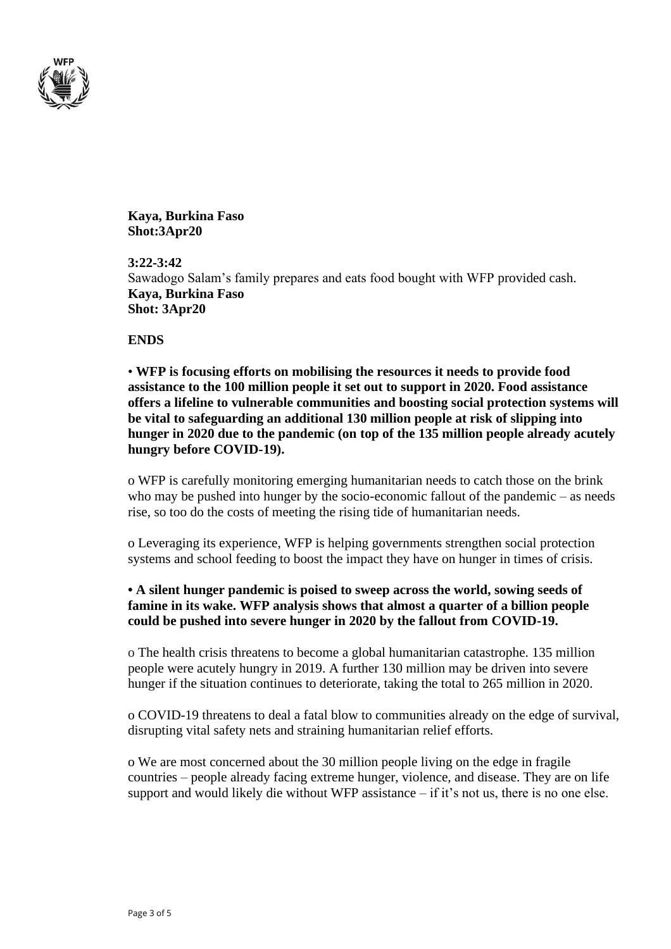

**Kaya, Burkina Faso Shot:3Apr20**

**3:22-3:42** Sawadogo Salam's family prepares and eats food bought with WFP provided cash. **Kaya, Burkina Faso Shot: 3Apr20**

**ENDS**

• **WFP is focusing efforts on mobilising the resources it needs to provide food assistance to the 100 million people it set out to support in 2020. Food assistance offers a lifeline to vulnerable communities and boosting social protection systems will be vital to safeguarding an additional 130 million people at risk of slipping into hunger in 2020 due to the pandemic (on top of the 135 million people already acutely hungry before COVID-19).** 

o WFP is carefully monitoring emerging humanitarian needs to catch those on the brink who may be pushed into hunger by the socio-economic fallout of the pandemic – as needs rise, so too do the costs of meeting the rising tide of humanitarian needs.

o Leveraging its experience, WFP is helping governments strengthen social protection systems and school feeding to boost the impact they have on hunger in times of crisis.

# **• A silent hunger pandemic is poised to sweep across the world, sowing seeds of famine in its wake. WFP analysis shows that almost a quarter of a billion people could be pushed into severe hunger in 2020 by the fallout from COVID-19.**

o The health crisis threatens to become a global humanitarian catastrophe. 135 million people were acutely hungry in 2019. A further 130 million may be driven into severe hunger if the situation continues to deteriorate, taking the total to 265 million in 2020.

o COVID-19 threatens to deal a fatal blow to communities already on the edge of survival, disrupting vital safety nets and straining humanitarian relief efforts.

o We are most concerned about the 30 million people living on the edge in fragile countries – people already facing extreme hunger, violence, and disease. They are on life support and would likely die without WFP assistance – if it's not us, there is no one else.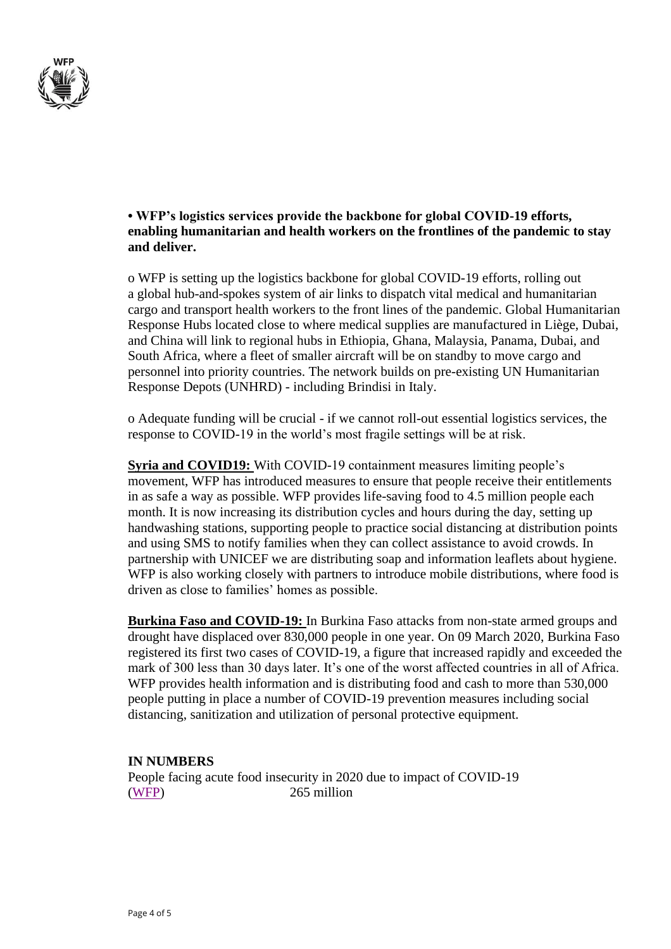

## **• WFP's logistics services provide the backbone for global COVID-19 efforts, enabling humanitarian and health workers on the frontlines of the pandemic to stay and deliver.**

o WFP is setting up the logistics backbone for global COVID-19 efforts, rolling out a global hub-and-spokes system of air links to dispatch vital medical and humanitarian cargo and transport health workers to the front lines of the pandemic. Global Humanitarian Response Hubs located close to where medical supplies are manufactured in Liège, Dubai, and China will link to regional hubs in Ethiopia, Ghana, Malaysia, Panama, Dubai, and South Africa, where a fleet of smaller aircraft will be on standby to move cargo and personnel into priority countries. The network builds on pre-existing UN Humanitarian Response Depots (UNHRD) - including Brindisi in Italy.

o Adequate funding will be crucial - if we cannot roll-out essential logistics services, the response to COVID-19 in the world's most fragile settings will be at risk.

**Syria and COVID19:** With COVID-19 containment measures limiting people's movement, WFP has introduced measures to ensure that people receive their entitlements in as safe a way as possible. WFP provides life-saving food to 4.5 million people each month. It is now increasing its distribution cycles and hours during the day, setting up handwashing stations, supporting people to practice social distancing at distribution points and using SMS to notify families when they can collect assistance to avoid crowds. In partnership with UNICEF we are distributing soap and information leaflets about hygiene. WFP is also working closely with partners to introduce mobile distributions, where food is driven as close to families' homes as possible.

**Burkina Faso and COVID-19:** In Burkina Faso attacks from non-state armed groups and drought have displaced over 830,000 people in one year. On 09 March 2020, Burkina Faso registered its first two cases of COVID-19, a figure that increased rapidly and exceeded the mark of 300 less than 30 days later. It's one of the worst affected countries in all of Africa. WFP provides health information and is distributing food and cash to more than 530,000 people putting in place a number of COVID-19 prevention measures including social distancing, sanitization and utilization of personal protective equipment.

# **IN NUMBERS**

People facing acute food insecurity in 2020 due to impact of COVID-19 [\(WFP\)](https://eur03.safelinks.protection.outlook.com/?url=https%3A%2F%2Fwfp.sharepoint.com%2F%3Ab%3A%2Fr%2Fsites%2FCommunications-COM%2FShared%2520Documents%2FMedia%2520Team%2FCOVID-19%2FWFP%2520Situation%2520Reports%2FPeople%2520in%2520need%2520methods%2520WFP.pdf%3Fcsf%3D1%26web%3D1%26e%3D1rC8a1&data=02%7C01%7Cjonathan.dumont%40wfp.org%7C69f0f87157394e7d8ab208d7f0c504fc%7C462ad9aed7d94206b87471b1e079776f%7C0%7C0%7C637242601357214076&sdata=hAS%2BCCej1kRyZSPw1zuoTxja1Hz7ioh0%2Fa5gCM8oBP8%3D&reserved=0) 265 million